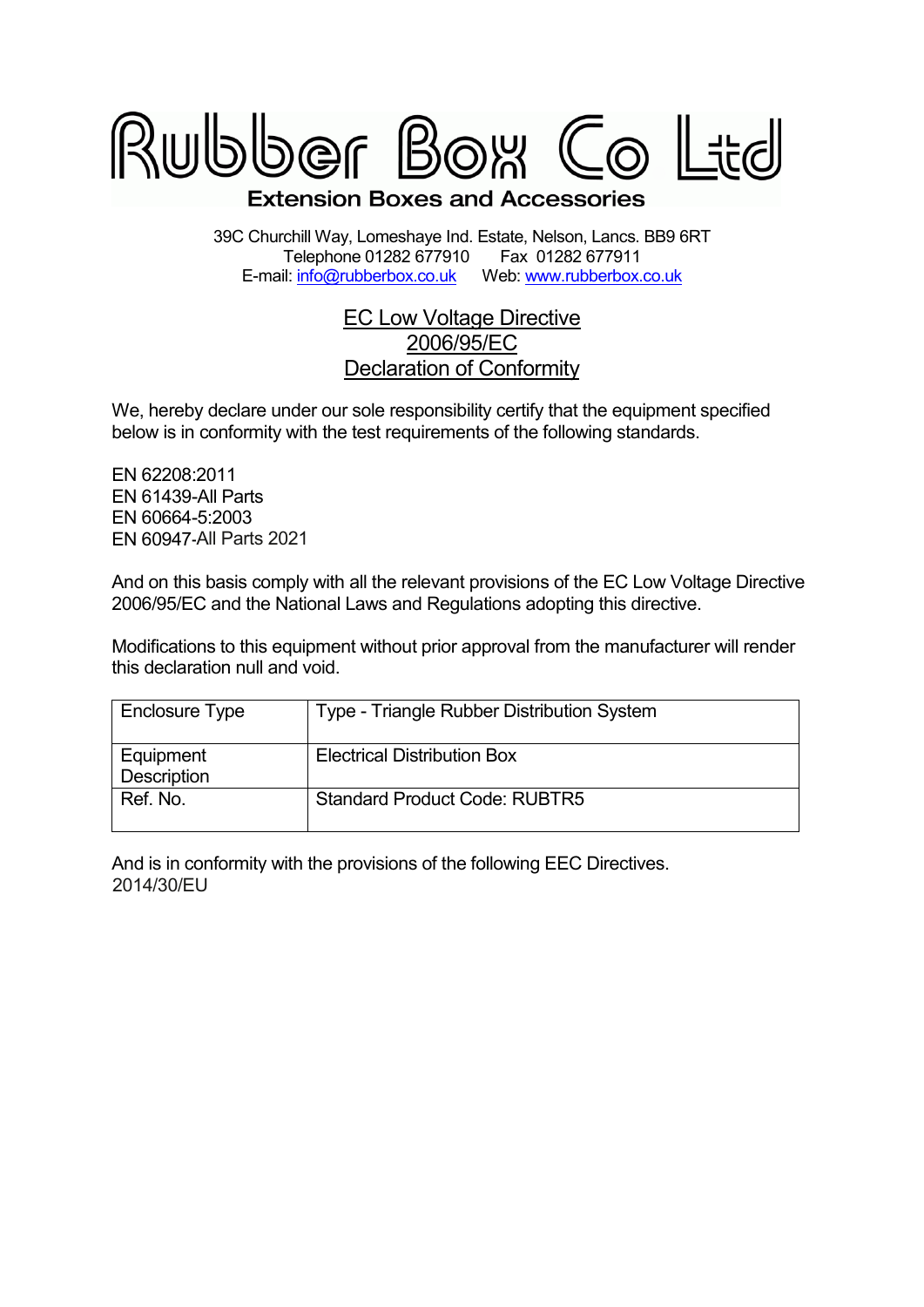

39C Churchill Way, Lomeshaye Ind. Estate, Nelson, Lancs. BB9 6RT Telephone 01282 677910 Fax 01282 677911<br>il: info@rubberbox.co.uk Web: www.rubberbox.co.uk E-mail: info@rubberbox.co.uk

## EC Low Voltage Directive 2006/95/EC Declaration of Conformity

We, hereby declare under our sole responsibility certify that the equipment specified below is in conformity with the test requirements of the following standards.

EN 62208:2011 EN 61439-All Parts EN 60664-5:2003 EN 60947-All Parts All Parts 2021

And on this basis comply with all the relevant provisions of the EC Low Voltage Directive 2006/95/EC and the National Laws and Regulations adopting this directive.

Modifications to this equipment without prior approval from the manufacturer will render this declaration null and void.

| Enclosure Type           | Type - Triangle Rubber Distribution System |
|--------------------------|--------------------------------------------|
| Equipment<br>Description | <b>Electrical Distribution Box</b>         |
| Ref. No.                 | <b>Standard Product Code: RUBTR5</b>       |

And is in conformity with the provisions of the following EEC Directives. 2014/30/EU